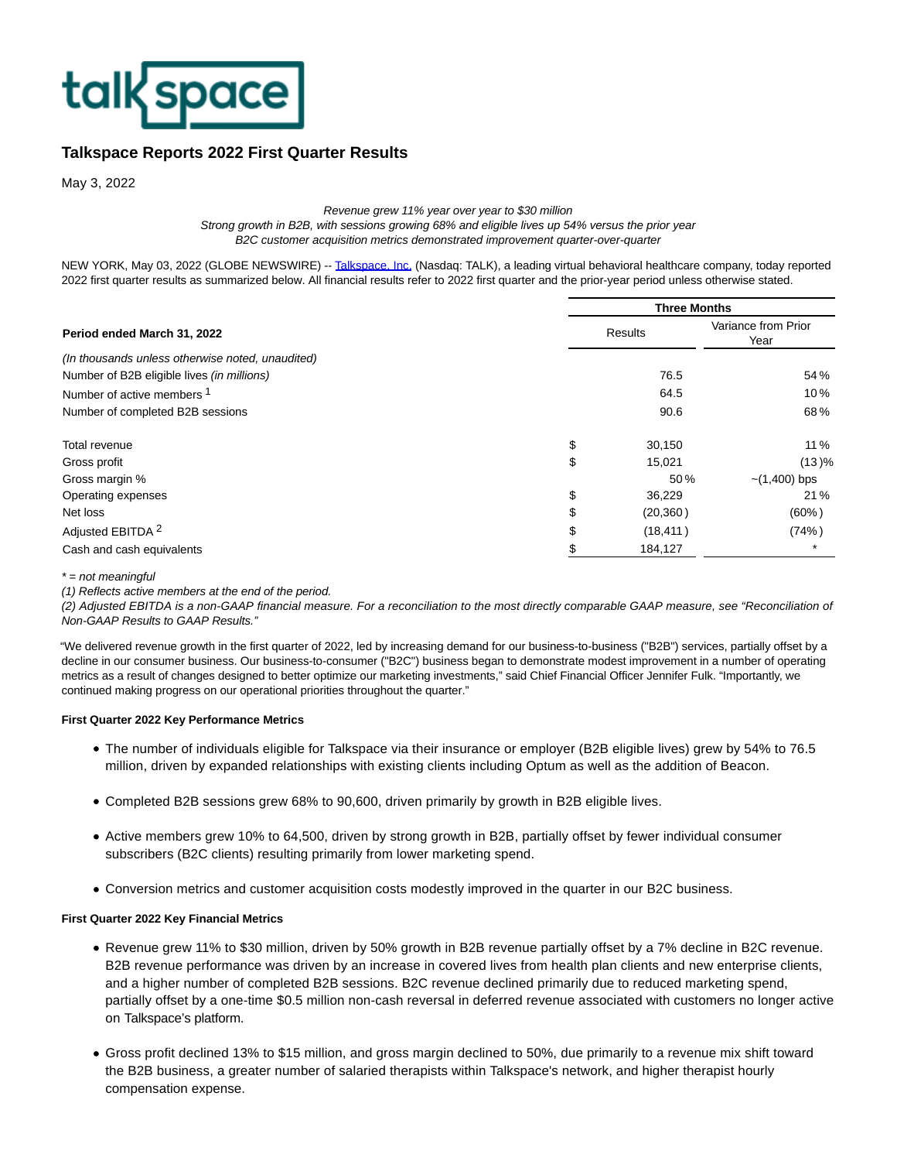

# **Talkspace Reports 2022 First Quarter Results**

May 3, 2022

Revenue grew 11% year over year to \$30 million

Strong growth in B2B, with sessions growing 68% and eligible lives up 54% versus the prior year B2C customer acquisition metrics demonstrated improvement quarter-over-quarter

NEW YORK, May 03, 2022 (GLOBE NEWSWIRE) -- [Talkspace, Inc. \(](https://www.globenewswire.com/Tracker?data=p7ukT98WeoLQKtQJ5plTwYzX9bgF_Iocfzy6lbNPUhql5GA-tPoGhIlpr3Gbkyt_Xsp_S0AIWxRL0FLhBmd82Q==)Nasdaq: TALK), a leading virtual behavioral healthcare company, today reported 2022 first quarter results as summarized below. All financial results refer to 2022 first quarter and the prior-year period unless otherwise stated.

|                                                  | <b>Three Months</b> |                    |  |  |  |
|--------------------------------------------------|---------------------|--------------------|--|--|--|
| Period ended March 31, 2022                      | <b>Results</b>      |                    |  |  |  |
| (In thousands unless otherwise noted, unaudited) |                     |                    |  |  |  |
| Number of B2B eligible lives (in millions)       | 76.5                | 54%                |  |  |  |
| Number of active members 1                       | 64.5                | 10%                |  |  |  |
| Number of completed B2B sessions                 | 90.6                | 68%                |  |  |  |
| Total revenue                                    | \$<br>30,150        | 11 %               |  |  |  |
| Gross profit                                     | \$<br>15,021        | (13)%              |  |  |  |
| Gross margin %                                   | 50%                 | $\sim$ (1,400) bps |  |  |  |
| Operating expenses                               | \$<br>36,229        | 21%                |  |  |  |
| Net loss                                         | \$<br>(20, 360)     | $(60\%)$           |  |  |  |
| Adjusted EBITDA <sup>2</sup>                     | \$<br>(18, 411)     | (74% )             |  |  |  |
| Cash and cash equivalents                        | 184,127             |                    |  |  |  |

 $* = not meaningful$ 

(1) Reflects active members at the end of the period.

(2) Adjusted EBITDA is a non-GAAP financial measure. For a reconciliation to the most directly comparable GAAP measure, see "Reconciliation of Non-GAAP Results to GAAP Results."

"We delivered revenue growth in the first quarter of 2022, led by increasing demand for our business-to-business ("B2B") services, partially offset by a decline in our consumer business. Our business-to-consumer ("B2C") business began to demonstrate modest improvement in a number of operating metrics as a result of changes designed to better optimize our marketing investments," said Chief Financial Officer Jennifer Fulk. "Importantly, we continued making progress on our operational priorities throughout the quarter."

# **First Quarter 2022 Key Performance Metrics**

- The number of individuals eligible for Talkspace via their insurance or employer (B2B eligible lives) grew by 54% to 76.5 million, driven by expanded relationships with existing clients including Optum as well as the addition of Beacon.
- Completed B2B sessions grew 68% to 90,600, driven primarily by growth in B2B eligible lives.
- Active members grew 10% to 64,500, driven by strong growth in B2B, partially offset by fewer individual consumer subscribers (B2C clients) resulting primarily from lower marketing spend.
- Conversion metrics and customer acquisition costs modestly improved in the quarter in our B2C business.

# **First Quarter 2022 Key Financial Metrics**

- Revenue grew 11% to \$30 million, driven by 50% growth in B2B revenue partially offset by a 7% decline in B2C revenue. B2B revenue performance was driven by an increase in covered lives from health plan clients and new enterprise clients, and a higher number of completed B2B sessions. B2C revenue declined primarily due to reduced marketing spend, partially offset by a one-time \$0.5 million non-cash reversal in deferred revenue associated with customers no longer active on Talkspace's platform.
- Gross profit declined 13% to \$15 million, and gross margin declined to 50%, due primarily to a revenue mix shift toward the B2B business, a greater number of salaried therapists within Talkspace's network, and higher therapist hourly compensation expense.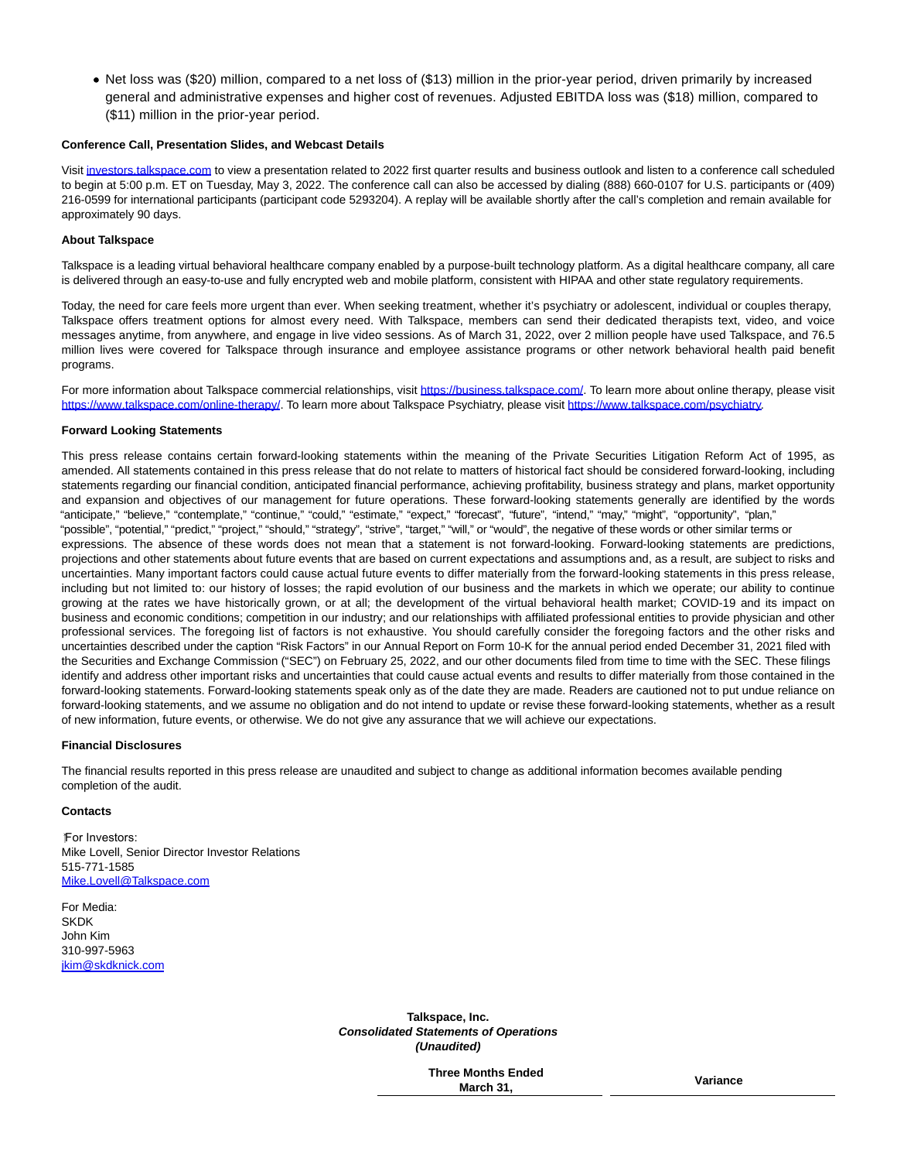Net loss was (\$20) million, compared to a net loss of (\$13) million in the prior-year period, driven primarily by increased general and administrative expenses and higher cost of revenues. Adjusted EBITDA loss was (\$18) million, compared to (\$11) million in the prior-year period.

### **Conference Call, Presentation Slides, and Webcast Details**

Visi[t investors.talkspace.com t](https://www.globenewswire.com/Tracker?data=rG1H_4QYzRwEYckpzQWIvjX8yKs6uqQCujVCPHfHnvAX60ziARSAnJAI1XwMvOYv2nOrXIWaEGmOHogFzCnGLOPvfXVXMOzimG7Syg6LGuAPEdOe1T33Gb0IOrKGHh6b6Ezzkfv0F-kbwf2Eob1UwwFqbEc2KGtftGc1_3iwgMthMAPG-p-ztCS0ycJjuleZVsGKfD2sdEpB8p0i4uBXsQ==)o view a presentation related to 2022 first quarter results and business outlook and listen to a conference call scheduled to begin at 5:00 p.m. ET on Tuesday, May 3, 2022. The conference call can also be accessed by dialing (888) 660-0107 for U.S. participants or (409) 216-0599 for international participants (participant code 5293204). A replay will be available shortly after the call's completion and remain available for approximately 90 days.

# **About Talkspace**

Talkspace is a leading virtual behavioral healthcare company enabled by a purpose-built technology platform. As a digital healthcare company, all care is delivered through an easy-to-use and fully encrypted web and mobile platform, consistent with HIPAA and other state regulatory requirements.

Today, the need for care feels more urgent than ever. When seeking treatment, whether it's psychiatry or adolescent, individual or couples therapy, Talkspace offers treatment options for almost every need. With Talkspace, members can send their dedicated therapists text, video, and voice messages anytime, from anywhere, and engage in live video sessions. As of March 31, 2022, over 2 million people have used Talkspace, and 76.5 million lives were covered for Talkspace through insurance and employee assistance programs or other network behavioral health paid benefit programs.

For more information about Talkspace commercial relationships, visi[t https://business.talkspace.com/.](https://www.globenewswire.com/Tracker?data=nhaXzoMc9JcBTGXZVMeWIMHWzvMMHvI-FO9-HMQzeZ5pUFyLRR4mLYcybSB8e72dnDE4aQMnz4Fl8KAo6OBkUroOW0BYDeQ4sfrI8djaZrPCg39wFr-E9rzvBDAcR1oz) To learn more about online therapy, please visit [https://www.talkspace.com/online-therapy/.](https://www.globenewswire.com/Tracker?data=nhaXzoMc9JcBTGXZVMeWIMdlhGCM5C7oj8bbblzc3zM00z3IJxExgyIDpJx3xDe69dTwiI7Wsoj2zJDB3ySMr-jNJE0qqeoNBvulIQdMrD7sEwhgrWuYTpe4vr6kvnvSAiTBeP6vbwSFn7_O5_6_Sg==) To learn more about Talkspace Psychiatry, please visit [https://www.talkspace.com/psychiatry.](https://www.globenewswire.com/Tracker?data=nhaXzoMc9JcBTGXZVMeWIMdlhGCM5C7oj8bbblzc3zNChVTjlOT_W32wWBM8ldpz8UI9CIXbfZHuCLkb0WxjfT8Js5QC27t0zP6fuvfzTmIYCNfG5WaKZ-ro3XtIdmoC)

#### **Forward Looking Statements**

This press release contains certain forward-looking statements within the meaning of the Private Securities Litigation Reform Act of 1995, as amended. All statements contained in this press release that do not relate to matters of historical fact should be considered forward-looking, including statements regarding our financial condition, anticipated financial performance, achieving profitability, business strategy and plans, market opportunity and expansion and objectives of our management for future operations. These forward-looking statements generally are identified by the words "anticipate," "believe," "contemplate," "continue," "could," "estimate," "expect," "forecast", "future", "intend," "may," "might", "opportunity", "plan," "possible", "potential," "predict," "project," "should," "strategy", "strive", "target," "will," or "would", the negative of these words or other similar terms or expressions. The absence of these words does not mean that a statement is not forward-looking. Forward-looking statements are predictions, projections and other statements about future events that are based on current expectations and assumptions and, as a result, are subject to risks and uncertainties. Many important factors could cause actual future events to differ materially from the forward-looking statements in this press release, including but not limited to: our history of losses; the rapid evolution of our business and the markets in which we operate; our ability to continue growing at the rates we have historically grown, or at all; the development of the virtual behavioral health market; COVID-19 and its impact on business and economic conditions; competition in our industry; and our relationships with affiliated professional entities to provide physician and other professional services. The foregoing list of factors is not exhaustive. You should carefully consider the foregoing factors and the other risks and uncertainties described under the caption "Risk Factors" in our Annual Report on Form 10-K for the annual period ended December 31, 2021 filed with the Securities and Exchange Commission ("SEC") on February 25, 2022, and our other documents filed from time to time with the SEC. These filings identify and address other important risks and uncertainties that could cause actual events and results to differ materially from those contained in the forward-looking statements. Forward-looking statements speak only as of the date they are made. Readers are cautioned not to put undue reliance on forward-looking statements, and we assume no obligation and do not intend to update or revise these forward-looking statements, whether as a result of new information, future events, or otherwise. We do not give any assurance that we will achieve our expectations.

#### **Financial Disclosures**

The financial results reported in this press release are unaudited and subject to change as additional information becomes available pending completion of the audit.

#### **Contacts**

For Investors: Mike Lovell, Senior Director Investor Relations 515-771-1585 [Mike.Lovell@Talkspace.com](https://www.globenewswire.com/Tracker?data=R7ZzJvB7wErqdKuhkbUmVqwbInkVVYTEKWK10h2DffCnqHUbSPDL8V9iMD8HDGZ-lOatFK_B0MOrFk1BEvayQY-0jh97NoMJYpD9rRcGJJ8=)

For Media: **SKDK** John Kim 310-997-5963 [jkim@skdknick.com](https://www.globenewswire.com/Tracker?data=YwTWwzRE1y9I8czPC9IFSBjVt1T_5UkV_r3G-2j3gz2jiFu3U8SBz1LCGKY6n17_YK5cbjW0-TzTB8EI150STA==)

> **Talkspace, Inc. Consolidated Statements of Operations (Unaudited)**

> > **Three Months Ended March 31, Variance**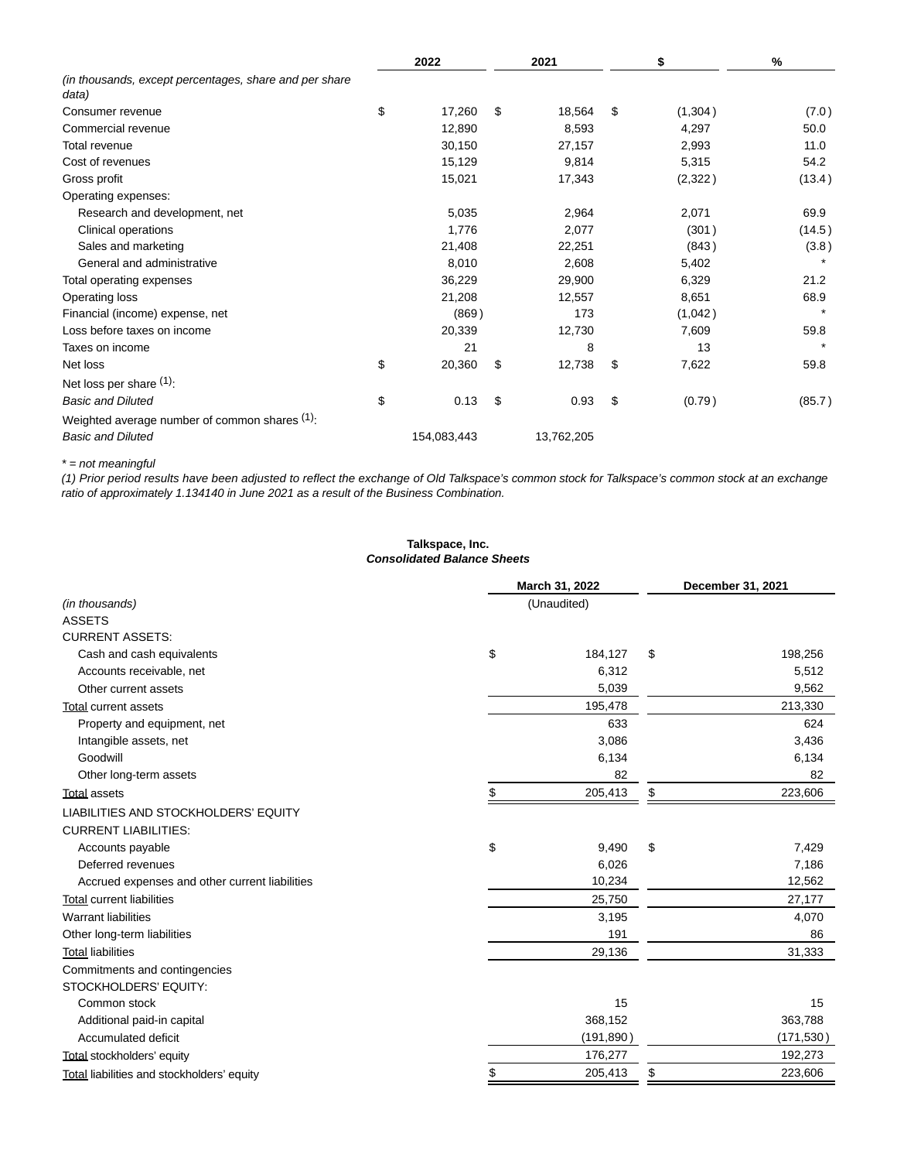|                                                                 | 2022         | 2021         | \$            | %      |
|-----------------------------------------------------------------|--------------|--------------|---------------|--------|
| (in thousands, except percentages, share and per share<br>data) |              |              |               |        |
| Consumer revenue                                                | \$<br>17,260 | \$<br>18,564 | \$<br>(1,304) | (7.0)  |
| Commercial revenue                                              | 12,890       | 8,593        | 4,297         | 50.0   |
| <b>Total revenue</b>                                            | 30,150       | 27,157       | 2,993         | 11.0   |
| Cost of revenues                                                | 15,129       | 9,814        | 5,315         | 54.2   |
| Gross profit                                                    | 15,021       | 17,343       | (2,322)       | (13.4) |
| Operating expenses:                                             |              |              |               |        |
| Research and development, net                                   | 5,035        | 2,964        | 2,071         | 69.9   |
| Clinical operations                                             | 1,776        | 2,077        | (301)         | (14.5) |
| Sales and marketing                                             | 21,408       | 22,251       | (843)         | (3.8)  |
| General and administrative                                      | 8,010        | 2,608        | 5,402         |        |
| Total operating expenses                                        | 36,229       | 29,900       | 6,329         | 21.2   |
| Operating loss                                                  | 21,208       | 12,557       | 8,651         | 68.9   |
| Financial (income) expense, net                                 | (869)        | 173          | (1,042)       |        |
| Loss before taxes on income                                     | 20,339       | 12,730       | 7,609         | 59.8   |
| Taxes on income                                                 | 21           | 8            | 13            |        |
| Net loss                                                        | \$<br>20,360 | \$<br>12,738 | \$<br>7,622   | 59.8   |
| Net loss per share $(1)$ :                                      |              |              |               |        |
| <b>Basic and Diluted</b>                                        | \$<br>0.13   | \$<br>0.93   | \$<br>(0.79)  | (85.7) |
| Weighted average number of common shares (1):                   |              |              |               |        |
| <b>Basic and Diluted</b>                                        | 154,083,443  | 13,762,205   |               |        |

\* = not meaningful

(1) Prior period results have been adjusted to reflect the exchange of Old Talkspace's common stock for Talkspace's common stock at an exchange ratio of approximately 1.134140 in June 2021 as a result of the Business Combination.

#### **Talkspace, Inc. Consolidated Balance Sheets**

|                                                | March 31, 2022 |               |
|------------------------------------------------|----------------|---------------|
| (in thousands)                                 | (Unaudited)    |               |
| <b>ASSETS</b>                                  |                |               |
| <b>CURRENT ASSETS:</b>                         |                |               |
| Cash and cash equivalents                      | \$<br>184,127  | \$<br>198,256 |
| Accounts receivable, net                       | 6,312          | 5,512         |
| Other current assets                           | 5,039          | 9,562         |
| <b>Total current assets</b>                    | 195,478        | 213,330       |
| Property and equipment, net                    | 633            | 624           |
| Intangible assets, net                         | 3,086          | 3,436         |
| Goodwill                                       | 6,134          | 6,134         |
| Other long-term assets                         | 82             | 82            |
| <b>Total assets</b>                            | 205,413<br>\$  | 223,606<br>\$ |
| LIABILITIES AND STOCKHOLDERS' EQUITY           |                |               |
| <b>CURRENT LIABILITIES:</b>                    |                |               |
| Accounts payable                               | \$<br>9,490    | \$<br>7,429   |
| Deferred revenues                              | 6,026          | 7,186         |
| Accrued expenses and other current liabilities | 10,234         | 12,562        |
| <b>Total current liabilities</b>               | 25,750         | 27,177        |
| <b>Warrant liabilities</b>                     | 3,195          | 4,070         |
| Other long-term liabilities                    | 191            | 86            |
| <b>Total liabilities</b>                       | 29,136         | 31,333        |
| Commitments and contingencies                  |                |               |
| STOCKHOLDERS' EQUITY:                          |                |               |
| Common stock                                   | 15             | 15            |
| Additional paid-in capital                     | 368,152        | 363,788       |
| Accumulated deficit                            | (191, 890)     | (171, 530)    |
| Total stockholders' equity                     | 176,277        | 192,273       |
| Total liabilities and stockholders' equity     | 205,413<br>\$  | \$<br>223,606 |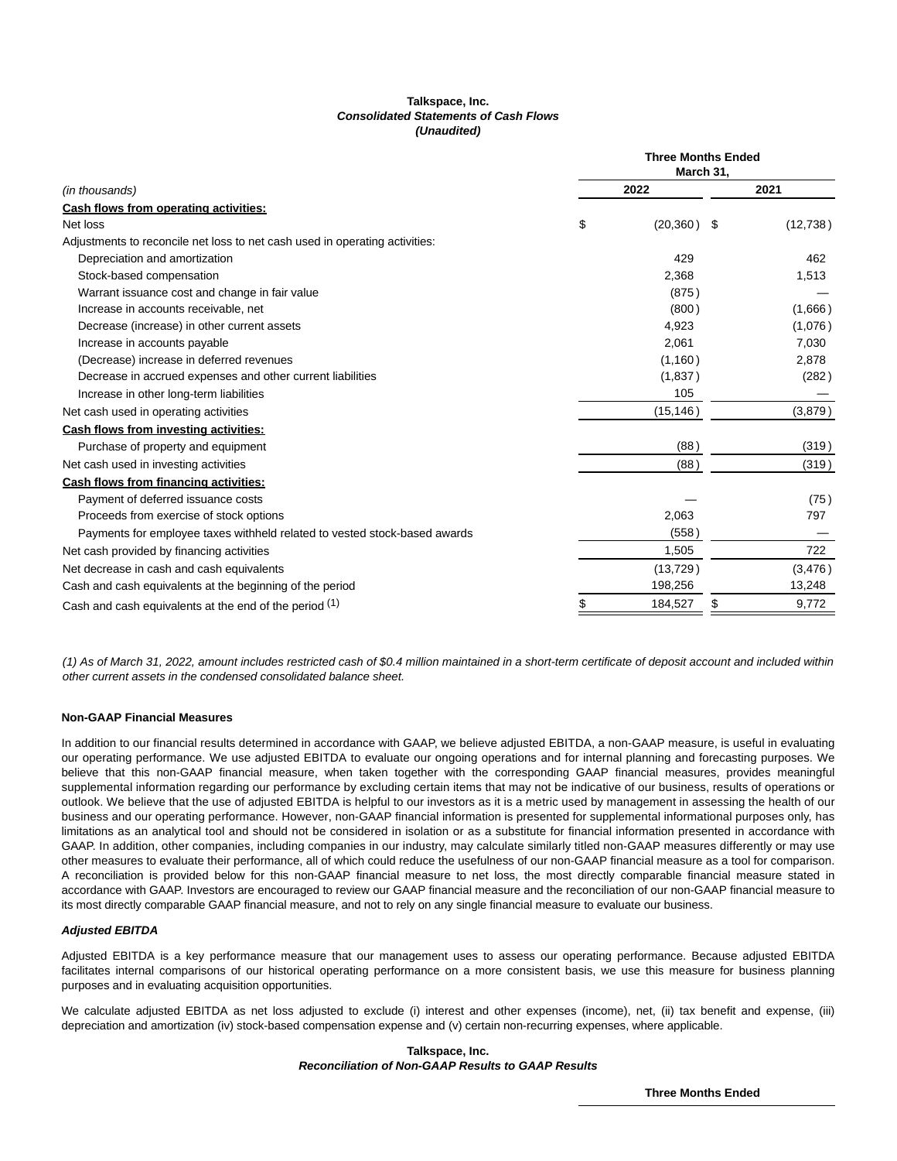# **Talkspace, Inc. Consolidated Statements of Cash Flows (Unaudited)**

|                                                                             | <b>Three Months Ended</b><br>March 31, |               |      |           |  |
|-----------------------------------------------------------------------------|----------------------------------------|---------------|------|-----------|--|
| (in thousands)                                                              |                                        | 2022          | 2021 |           |  |
| <b>Cash flows from operating activities:</b>                                |                                        |               |      |           |  |
| Net loss                                                                    | \$                                     | $(20,360)$ \$ |      | (12, 738) |  |
| Adjustments to reconcile net loss to net cash used in operating activities: |                                        |               |      |           |  |
| Depreciation and amortization                                               |                                        | 429           |      | 462       |  |
| Stock-based compensation                                                    |                                        | 2,368         |      | 1,513     |  |
| Warrant issuance cost and change in fair value                              |                                        | (875)         |      |           |  |
| Increase in accounts receivable, net                                        |                                        | (800)         |      | (1,666)   |  |
| Decrease (increase) in other current assets                                 |                                        | 4,923         |      | (1,076)   |  |
| Increase in accounts payable                                                |                                        | 2,061         |      | 7,030     |  |
| (Decrease) increase in deferred revenues                                    |                                        | (1,160)       |      | 2,878     |  |
| Decrease in accrued expenses and other current liabilities                  |                                        | (1,837)       |      | (282)     |  |
| Increase in other long-term liabilities                                     |                                        | 105           |      |           |  |
| Net cash used in operating activities                                       |                                        | (15, 146)     |      | (3,879)   |  |
| <b>Cash flows from investing activities:</b>                                |                                        |               |      |           |  |
| Purchase of property and equipment                                          |                                        | (88)          |      | (319)     |  |
| Net cash used in investing activities                                       |                                        | (88)          |      | (319)     |  |
| Cash flows from financing activities:                                       |                                        |               |      |           |  |
| Payment of deferred issuance costs                                          |                                        |               |      | (75)      |  |
| Proceeds from exercise of stock options                                     |                                        | 2,063         |      | 797       |  |
| Payments for employee taxes withheld related to vested stock-based awards   |                                        | (558)         |      |           |  |
| Net cash provided by financing activities                                   |                                        | 1,505         |      | 722       |  |
| Net decrease in cash and cash equivalents                                   |                                        | (13, 729)     |      | (3,476)   |  |
| Cash and cash equivalents at the beginning of the period                    |                                        | 198,256       |      | 13,248    |  |
| Cash and cash equivalents at the end of the period (1)                      | \$                                     | 184,527       | \$   | 9,772     |  |

(1) As of March 31, 2022, amount includes restricted cash of \$0.4 million maintained in a short-term certificate of deposit account and included within other current assets in the condensed consolidated balance sheet.

# **Non-GAAP Financial Measures**

In addition to our financial results determined in accordance with GAAP, we believe adjusted EBITDA, a non-GAAP measure, is useful in evaluating our operating performance. We use adjusted EBITDA to evaluate our ongoing operations and for internal planning and forecasting purposes. We believe that this non-GAAP financial measure, when taken together with the corresponding GAAP financial measures, provides meaningful supplemental information regarding our performance by excluding certain items that may not be indicative of our business, results of operations or outlook. We believe that the use of adjusted EBITDA is helpful to our investors as it is a metric used by management in assessing the health of our business and our operating performance. However, non-GAAP financial information is presented for supplemental informational purposes only, has limitations as an analytical tool and should not be considered in isolation or as a substitute for financial information presented in accordance with GAAP. In addition, other companies, including companies in our industry, may calculate similarly titled non-GAAP measures differently or may use other measures to evaluate their performance, all of which could reduce the usefulness of our non-GAAP financial measure as a tool for comparison. A reconciliation is provided below for this non-GAAP financial measure to net loss, the most directly comparable financial measure stated in accordance with GAAP. Investors are encouraged to review our GAAP financial measure and the reconciliation of our non-GAAP financial measure to its most directly comparable GAAP financial measure, and not to rely on any single financial measure to evaluate our business.

# **Adjusted EBITDA**

Adjusted EBITDA is a key performance measure that our management uses to assess our operating performance. Because adjusted EBITDA facilitates internal comparisons of our historical operating performance on a more consistent basis, we use this measure for business planning purposes and in evaluating acquisition opportunities.

We calculate adjusted EBITDA as net loss adjusted to exclude (i) interest and other expenses (income), net, (ii) tax benefit and expense, (iii) depreciation and amortization (iv) stock-based compensation expense and (v) certain non-recurring expenses, where applicable.

# **Talkspace, Inc. Reconciliation of Non-GAAP Results to GAAP Results**

**Three Months Ended**